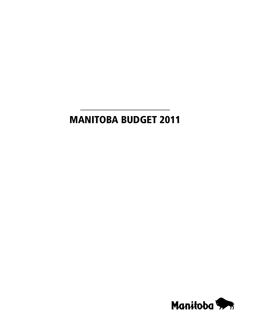# Manitoba Budget 2011

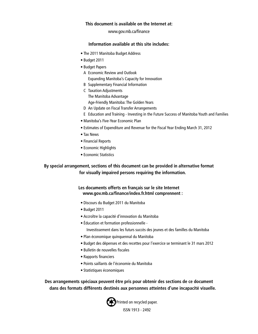## **This document is available on the Internet at:**

www.gov.mb.ca/finance

## **Information available at this site includes:**

- The 2011 Manitoba Budget Address
- • Budget 2011
- • Budget Papers
	- A Economic Review and Outlook
		- Expanding Manitoba's Capacity for Innovation
	- B Supplementary Financial Information
	- C Taxation Adjustments The Manitoba Advantage
		- Age-Friendly Manitoba: The Golden Years
	- D An Update on Fiscal Transfer Arrangements
	- E Education and Training Investing in the Future Success of Manitoba Youth and Families
- • Manitoba's Five-Year Economic Plan
- Estimates of Expenditure and Revenue for the Fiscal Year Ending March 31, 2012
- Tax News
- • Financial Reports
- Economic Highlights
- Economic Statistics

## **By special arrangement, sections of this document can be provided in alternative format for visually impaired persons requiring the information.**

## **Les documents offerts en français sur le site Internet www.gov.mb.ca/finance/index.fr.html comprennent :**

- • Discours du Budget 2011 du Manitoba
- • Budget 2011
- • Accroître la capacité d'innovation du Manitoba
- Éducation et formation professionnelle -
	- Investissement dans les futurs succès des jeunes et des familles du Manitoba
- • Plan économique quinquennal du Manitoba
- • Budget des dépenses et des recettes pour l'exercice se terminant le 31 mars 2012
- Bulletin de nouvelles fiscales
- • Rapports financiers
- • Points saillants de l'économie du Manitoba
- Statistiques économiques

**Des arrangements spéciaux peuvent être pris pour obtenir des sections de ce document dans des formats différents destinés aux personnes atteintes d'une incapacité visuelle.**



 $\sum$  Printed on recycled paper.

ISSN 1913 - 2492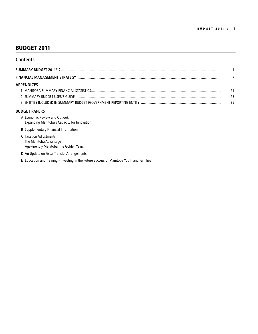## Budget 2011

## **Contents**

| <b>APPENDICES</b> |    |
|-------------------|----|
|                   |    |
|                   | 25 |
|                   | 35 |

## **BUDGET PAPERS**

| A Economic Review and Outlook                       |
|-----------------------------------------------------|
| <b>Expanding Manitoba's Capacity for Innovation</b> |

B Supplementary Financial Information

C Taxation Adjustments The Manitoba Advantage Age-Friendly Manitoba: The Golden Years

D An Update on Fiscal Transfer Arrangements

E Education and Training - Investing in the Future Success of Manitoba Youth and Families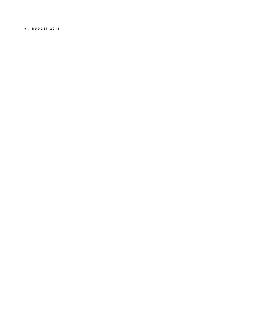**iv /** BUDGET 2011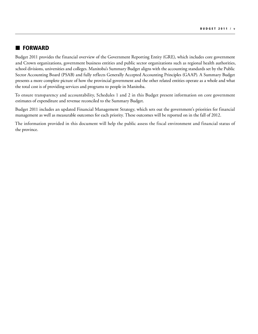## **■ FORWARD**

Budget 2011 provides the financial overview of the Government Reporting Entity (GRE), which includes core government and Crown organizations, government business entities and public sector organizations such as regional health authorities, school divisions, universities and colleges. Manitoba's Summary Budget aligns with the accounting standards set by the Public Sector Accounting Board (PSAB) and fully reflects Generally Accepted Accounting Principles (GAAP). A Summary Budget presents a more complete picture of how the provincial government and the other related entities operate as a whole and what the total cost is of providing services and programs to people in Manitoba.

To ensure transparency and accountability, Schedules 1 and 2 in this Budget present information on core government estimates of expenditure and revenue reconciled to the Summary Budget.

Budget 2011 includes an updated Financial Management Strategy, which sets out the government's priorities for financial management as well as measurable outcomes for each priority. These outcomes will be reported on in the fall of 2012.

The information provided in this document will help the public assess the fiscal environment and financial status of the province.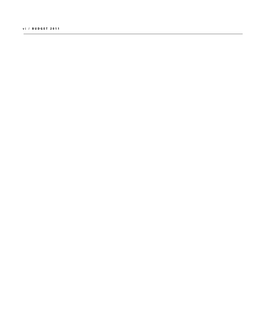**vi /** BUDGET 2011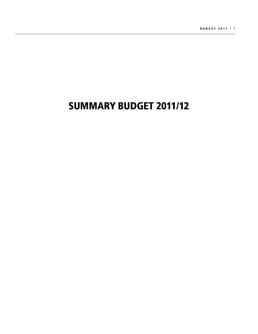# Summary Budget 2011/12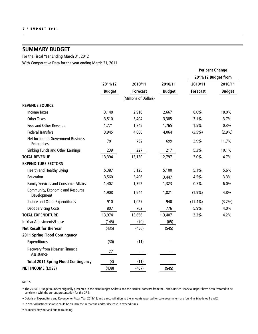## **SUMMARY BUDGET**

For the Fiscal Year Ending March 31, 2012

With Comparative Data for the year ending March 31, 2011

|                                                  |               |                       |               | Per cent Change |                     |  |
|--------------------------------------------------|---------------|-----------------------|---------------|-----------------|---------------------|--|
|                                                  |               |                       |               |                 | 2011/12 Budget from |  |
|                                                  | 2011/12       | 2010/11               | 2010/11       | 2010/11         | 2010/11             |  |
|                                                  | <b>Budget</b> | <b>Forecast</b>       | <b>Budget</b> | <b>Forecast</b> | <b>Budget</b>       |  |
|                                                  |               | (Millions of Dollars) |               |                 |                     |  |
| <b>REVENUE SOURCE</b>                            |               |                       |               |                 |                     |  |
| <b>Income Taxes</b>                              | 3,148         | 2,916                 | 2,667         | 8.0%            | 18.0%               |  |
| <b>Other Taxes</b>                               | 3,510         | 3,404                 | 3,385         | 3.1%            | 3.7%                |  |
| Fees and Other Revenue                           | 1,771         | 1,745                 | 1,765         | 1.5%            | 0.3%                |  |
| <b>Federal Transfers</b>                         | 3,945         | 4,086                 | 4,064         | $(3.5\%)$       | (2.9%)              |  |
| Net Income of Government Business<br>Enterprises | 781           | 752                   | 699           | 3.9%            | 11.7%               |  |
| Sinking Funds and Other Earnings                 | 239           | 227                   | 217           | 5.3%            | 10.1%               |  |
| <b>TOTAL REVENUE</b>                             | 13,394        | 13,130                | 12,797        | 2.0%            | 4.7%                |  |
| <b>EXPENDITURE SECTORS</b>                       |               |                       |               |                 |                     |  |
| Health and Healthy Living                        | 5,387         | 5,125                 | 5,100         | 5.1%            | 5.6%                |  |
| Education                                        | 3,560         | 3,406                 | 3,447         | 4.5%            | 3.3%                |  |
| <b>Family Services and Consumer Affairs</b>      | 1,402         | 1,392                 | 1,323         | 0.7%            | 6.0%                |  |
| Community, Economic and Resource<br>Development  | 1,908         | 1,944                 | 1,821         | (1.9%)          | 4.8%                |  |
| Justice and Other Expenditures                   | 910           | 1,027                 | 940           | $(11.4\%)$      | (3.2%)              |  |
| <b>Debt Servicing Costs</b>                      | 807           | 762                   | 776           | 5.9%            | 4.0%                |  |
| <b>TOTAL EXPENDITURE</b>                         | 13,974        | 13,656                | 13,407        | 2.3%            | 4.2%                |  |
| In-Year Adjustments/Lapse                        | (145)         | (70)                  | (65)          |                 |                     |  |
| <b>Net Result for the Year</b>                   | (435)         | (456)                 | (545)         |                 |                     |  |
| <b>2011 Spring Flood Contingency</b>             |               |                       |               |                 |                     |  |
| Expenditures                                     | (30)          | (11)                  |               |                 |                     |  |
| Recovery from Disaster Financial<br>Assistance   | 27            |                       |               |                 |                     |  |
| <b>Total 2011 Spring Flood Contingency</b>       | (3)           | (11)                  |               |                 |                     |  |
| <b>NET INCOME (LOSS)</b>                         | (438)         | (467)                 | (545)         |                 |                     |  |

#### NOTES:

• The 2010/11 Budget numbers originally presented in the 2010 Budget Address and the 2010/11 forecast from the Third Quarter Financial Report have been restated to be consistent with the current presentation for the GRE.

• Details of Expenditure and Revenue for Fiscal Year 2011/12, and a reconciliation to the amounts reported for core government are found in Schedules 1 and 2.

• In-Year Adjustments/Lapse could be an increase in revenue and/or decrease in expenditures.

• Numbers may not add due to rounding.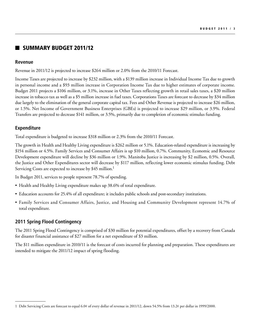## **I SUMMARY BUDGET 2011/12**

## **Revenue**

Revenue in 2011/12 is projected to increase \$264 million or 2.0% from the 2010/11 Forecast.

Income Taxes are projected to increase by \$232 million, with a \$139 million increase in Individual Income Tax due to growth in personal income and a \$93 million increase in Corporation Income Tax due to higher estimates of corporate income. Budget 2011 projects a \$106 million, or 3.1%, increase in Other Taxes reflecting growth in retail sales taxes, a \$20 million increase in tobacco tax as well as a \$5 million increase in fuel taxes. Corporations Taxes are forecast to decrease by \$34 million due largely to the elimination of the general corporate capital tax. Fees and Other Revenue is projected to increase \$26 million, or 1.5%. Net Income of Government Business Enterprises (GBEs) is projected to increase \$29 million, or 3.9%. Federal Transfers are projected to decrease \$141 million, or 3.5%, primarily due to completion of economic stimulus funding.

## **Expenditure**

Total expenditure is budgeted to increase \$318 million or 2.3% from the 2010/11 Forecast.

The growth in Health and Healthy Living expenditure is \$262 million or 5.1%. Education-related expenditure is increasing by \$154 million or 4.5%. Family Services and Consumer Affairs is up \$10 million, 0.7%. Community, Economic and Resource Development expenditure will decline by \$36 million or 1.9%. Manitoba Justice is increasing by \$2 million, 0.5%. Overall, the Justice and Other Expenditures sector will decrease by \$117 million, reflecting lower economic stimulus funding. Debt Servicing Costs are expected to increase by \$45 million.<sup>1</sup>

In Budget 2011, services to people represent 78.7% of spending.

- Health and Healthy Living expenditure makes up 38.6% of total expenditure.
- Education accounts for 25.4% of all expenditure; it includes public schools and post-secondary institutions.
- • Family Services and Consumer Affairs, Justice, and Housing and Community Development represent 14.7% of total expenditure.

## **2011 Spring Flood Contingency**

The 2011 Spring Flood Contingency is comprised of \$30 million for potential expenditures, offset by a recovery from Canada for disaster financial assistance of \$27 million for a net expenditure of \$3 million.

The \$11 million expenditure in 2010/11 is the forecast of costs incurred for planning and preparation. These expenditures are intended to mitigate the 2011/12 impact of spring flooding.

<sup>1</sup> Debt Servicing Costs are forecast to equal 6.0¢ of every dollar of revenue in 2011/12, down 54.5% from 13.2¢ per dollar in 1999/2000.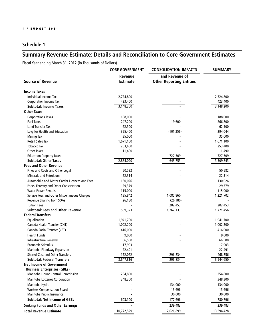## **Schedule 1**

# **Summary Revenue Estimate: Details and Reconciliation to Core Government Estimates**

Fiscal Year ending March 31, 2012 (in Thousands of Dollars)

|                                                                       | <b>CORE GOVERNMENT</b> | <b>CONSOLIDATION IMPACTS</b>    | <b>SUMMARY</b>    |
|-----------------------------------------------------------------------|------------------------|---------------------------------|-------------------|
|                                                                       | Revenue                | and Revenue of                  |                   |
| <b>Source of Revenue</b>                                              | <b>Estimate</b>        | <b>Other Reporting Entities</b> |                   |
| <b>Income Taxes</b>                                                   |                        |                                 |                   |
| Individual Income Tax                                                 | 2,724,800              |                                 | 2,724,800         |
| Corporation Income Tax                                                | 423,400                |                                 | 423,400           |
| <b>Subtotal: Income Taxes</b>                                         | 3,148,200              |                                 | 3,148,200         |
| <b>Other Taxes</b>                                                    |                        |                                 |                   |
| <b>Corporations Taxes</b>                                             | 188,000                |                                 | 188,000           |
| <b>Fuel Taxes</b>                                                     | 247,200                | 19,600                          | 266,800           |
| Land Transfer Tax                                                     | 62,500                 |                                 | 62,500            |
| Levy for Health and Education                                         | 395,400                | (101, 356)                      | 294,044           |
| <b>Mining Tax</b>                                                     | 35,000                 |                                 | 35,000            |
| <b>Retail Sales Tax</b>                                               | 1,671,100              |                                 | 1,671,100         |
| <b>Tobacco Tax</b>                                                    | 253,400                |                                 | 253,400           |
| <b>Other Taxes</b>                                                    | 11,490                 |                                 | 11,490            |
| <b>Education Property Taxes</b>                                       |                        | 727,509                         | 727,509           |
| <b>Subtotal: Other Taxes</b>                                          | 2,864,090              | 645,753                         | 3,509,843         |
| <b>Fees and Other Revenue</b>                                         |                        |                                 |                   |
| Fines and Costs and Other Legal                                       | 50,582                 |                                 | 50,582            |
| <b>Minerals and Petroleum</b>                                         | 22,314                 |                                 | 22,314            |
| Automobile and Motor Carrier Licences and Fees                        | 130,026                |                                 | 130,026           |
| Parks: Forestry and Other Conservation                                | 29,379                 |                                 | 29,379            |
| <b>Water Power Rentals</b>                                            | 115,000                |                                 | 115,000           |
| Service Fees and Other Miscellaneous Charges                          | 135,842                | 1,085,860                       | 1,221,702         |
| Revenue Sharing from SOAs                                             | 26,180                 | (26, 180)                       |                   |
| <b>Tuition Fees</b>                                                   |                        | 202,453                         | 202,453           |
| <b>Subtotal: Fees and Other Revenue</b>                               | 509,323                | 1,262,133                       | 1,771,456         |
| <b>Federal Transfers</b>                                              |                        |                                 |                   |
| Equalization                                                          | 1,941,700              |                                 | 1,941,700         |
| Canada Health Transfer (CHT)                                          | 1,002,200              |                                 | 1,002,200         |
| Canada Social Transfer (CST)                                          | 416,000                |                                 | 416,000           |
| <b>Health Funds</b>                                                   |                        |                                 |                   |
| <b>Infrastructure Renewal</b>                                         | 9,000                  |                                 | 9,000             |
| <b>Economic Stimulus</b>                                              | 66,500                 |                                 | 66,500            |
| Manitoba Floodway Expansion                                           | 17,903                 |                                 | 17,903            |
| <b>Shared-Cost and Other Transfers</b>                                | 22,491<br>172,022      | 296,834                         | 22,491<br>468,856 |
|                                                                       |                        |                                 |                   |
| <b>Subtotal: Federal Transfers</b><br><b>Net Income of Government</b> | 3,647,816              | 296,834                         | 3,944,650         |
| <b>Business Enterprises (GBEs)</b>                                    |                        |                                 |                   |
| Manitoba Liquor Control Commission                                    | 254,800                |                                 | 254,800           |
|                                                                       |                        |                                 |                   |
| Manitoba Lotteries Corporation                                        | 348,300                |                                 | 348,300           |
| Manitoba Hydro                                                        |                        | 134,000                         | 134,000           |
| <b>Workers Compensation Board</b>                                     |                        | 13,696                          | 13,696            |
| Manitoba Public Insurance                                             |                        | 30,000                          | 30,000            |
| <b>Subtotal: Net Income of GBEs</b>                                   | 603,100                | 177,696                         | 780,796           |
| <b>Sinking Funds and Other Earnings</b>                               |                        | 239,483                         | 239,483           |
| <b>Total Revenue Estimate</b>                                         | 10,772,529             | 2,621,899                       | 13,394,428        |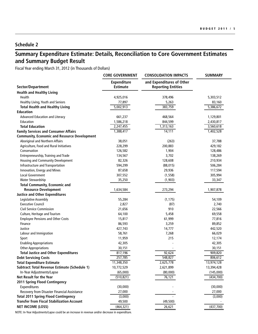## **Schedule 2**

## **Summary Expenditure Estimate: Details, Reconciliation to Core Government Estimates and Summary Budget Result**

Fiscal Year ending March 31, 2012 (in Thousands of Dollars)

|                                                     | <b>CORE GOVERNMENT</b>                | <b>CONSOLIDATION IMPACTS</b>                           | <b>SUMMARY</b> |
|-----------------------------------------------------|---------------------------------------|--------------------------------------------------------|----------------|
| Sector/Department                                   | <b>Expenditure</b><br><b>Estimate</b> | and Expenditures of Other<br><b>Reporting Entities</b> |                |
| <b>Health and Healthy Living</b>                    |                                       |                                                        |                |
| Health                                              | 4,925,016                             | 378,496                                                | 5,303,512      |
| Healthy Living, Youth and Seniors                   | 77,897                                | 5,263                                                  | 83,160         |
| <b>Total Health and Healthy Living</b>              | 5,002,913                             | 383,759                                                | 5,386,672      |
| <b>Education</b>                                    |                                       |                                                        |                |
| Advanced Education and Literacy                     | 661,237                               | 468,564                                                | 1,129,801      |
| Education                                           | 1,586,218                             | 844,599                                                | 2,430,817      |
| <b>Total Education</b>                              | 2,247,455                             | 1,313,163                                              | 3,560,618      |
| <b>Family Services and Consumer Affairs</b>         | 1,388,417                             | 14,111                                                 | 1,402,528      |
| <b>Community, Economic and Resource Development</b> |                                       |                                                        |                |
| Aboriginal and Northern Affairs                     | 38,051                                | (263)                                                  | 37,788         |
| Agriculture, Food and Rural Initiatives             | 228,299                               | 200,883                                                | 429,182        |
| Conservation                                        | 126,582                               | 1,904                                                  | 128,486        |
| Entrepreneurship, Training and Trade                | 134,567                               | 3,702                                                  | 138,269        |
| Housing and Community Development                   | 82,326                                | 128,608                                                | 210,934        |
| Infrastructure and Transportation                   | 594,299                               | (88, 015)                                              | 506,284        |
| Innovation, Energy and Mines                        | 87,658                                | 29,936                                                 | 117,594        |
| <b>Local Government</b>                             | 307,552                               | (1, 558)                                               | 305,994        |
| Water Stewardship                                   | 35,250                                | (1,903)                                                | 33,347         |
| <b>Total Community, Economic and</b>                |                                       |                                                        |                |
| <b>Resource Development</b>                         | 1,634,584                             | 273,294                                                | 1,907,878      |
| <b>Justice and Other Expenditures</b>               |                                       |                                                        |                |
| Legislative Assembly                                | 55,284                                | (1, 175)                                               | 54,109         |
| <b>Executive Council</b>                            | 2,827                                 | (87)                                                   | 2,740          |
| <b>Civil Service Commission</b>                     | 21,656                                | 910                                                    | 22,566         |
| Culture, Heritage and Tourism                       | 64,100                                | 5,458                                                  | 69,558         |
| <b>Employee Pensions and Other Costs</b>            | 15,817                                | 61,999                                                 | 77,816         |
| Finance                                             | 86,593                                | 3,259                                                  | 89,852         |
| Justice                                             | 427,743                               | 14,777                                                 | 442,520        |
| Labour and Immigration                              | 58,761                                | 7,268                                                  | 66,029         |
| Sport                                               | 11,959                                | 215                                                    | 12,174         |
| <b>Enabling Appropriations</b>                      | 42,305                                |                                                        | 42,305         |
| <b>Other Appropriations</b>                         | 30,151                                |                                                        | 30,151         |
| <b>Total Justice and Other Expenditures</b>         | 817,196                               | 92,624                                                 | 909,820        |
| <b>Debt Servicing Costs</b>                         | 257,785                               | 548,827                                                | 806,612        |
| Total Expenditure Estimate                          | 11,348,350                            | 2,625,778                                              | 13,974,128     |
| Subtract: Total Revenue Estimate (Schedule 1)       | 10,772,529                            | 2,621,899                                              | 13,394,428     |
| In-Year Adjustments/Lapse                           | (65,000)                              | (80,000)                                               | (145,000)      |
| Net Result for the Year                             | (510, 821)                            | 76,121                                                 | (434,700)      |
| 2011 Spring Flood Contingency                       |                                       |                                                        |                |
| Expenditures                                        | (30,000)                              |                                                        | (30,000)       |
| Recovery from Disaster Financial Assistance         | 27,000                                |                                                        | 27,000         |
| <b>Total 2011 Spring Flood Contingency</b>          | (3,000)                               |                                                        | (3,000)        |
| <b>Transfer from Fiscal Stabilization Account</b>   | 49,500                                | (49, 500)                                              |                |
| <b>NET INCOME (LOSS)</b>                            | (464, 321)                            | 26,621                                                 | (437,700)      |

NOTE: In-Year Adjustments/Lapse could be an increase in revenue and/or decrease in expenditure.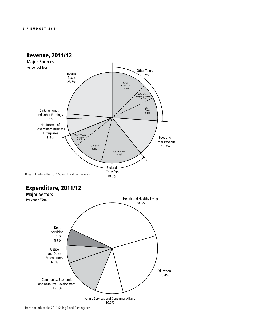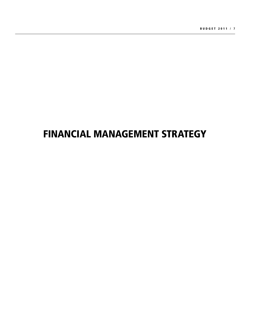# Financial Management strategy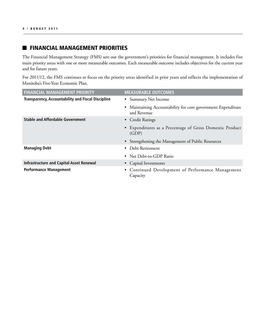## **n** FINANCIAL MANAGEMENT PRIORITIES

The Financial Management Strategy (FMS) sets out the government's priorities for financial management. It includes five main priority areas with one or more measurable outcomes. Each measurable outcome includes objectives for the current year and for future years.

For 2011/12, the FMS continues to focus on the priority areas identified in prior years and reflects the implementation of Manitoba's Five-Year Economic Plan.

| <b>FINANCIAL MANAGEMENT PRIORITY</b>                      | <b>MEASURABLE OUTCOMES</b>                                                  |
|-----------------------------------------------------------|-----------------------------------------------------------------------------|
| <b>Transparency, Accountability and Fiscal Discipline</b> | • Summary Net Income                                                        |
|                                                           | • Maintaining Accountability for core government Expenditure<br>and Revenue |
| <b>Stable and Affordable Government</b>                   | • Credit Ratings                                                            |
|                                                           | • Expenditures as a Percentage of Gross Domestic Product<br>(GDP)           |
|                                                           | • Strengthening the Management of Public Resources                          |
| <b>Managing Debt</b>                                      | • Debt Retirement                                                           |
|                                                           | • Net Debt-to-GDP Ratio                                                     |
| <b>Infrastructure and Capital Asset Renewal</b>           | • Capital Investments                                                       |
| <b>Performance Management</b>                             | • Continued Development of Performance Management<br>Capacity               |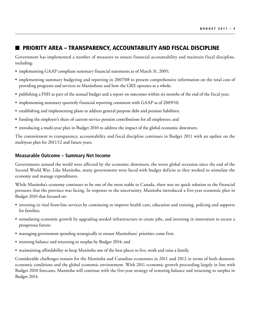## PRIORITY AREA - TRANSPARENCY, ACCOUNTABILITY AND FISCAL DISCIPLINE

Government has implemented a number of measures to ensure financial accountability and maintain fiscal discipline, including:

- implementing GAAP compliant summary financial statements as of March 31, 2005;
- implementing summary budgeting and reporting in 2007/08 to present comprehensive information on the total cost of providing programs and services to Manitobans and how the GRE operates as a whole;
- publishing a FMS as part of the annual budget and a report on outcomes within six months of the end of the fiscal year;
- implementing summary quarterly financial reporting consistent with GAAP as of 2009/10;
- establishing and implementing plans to address general purpose debt and pension liabilities;
- • funding the employer's share of current service pension contributions for all employees; and
- introducing a multi-year plan in Budget 2010 to address the impact of the global economic downturn.

The commitment to transparency, accountability and fiscal discipline continues in Budget 2011 with an update on the multiyear plan for 2011/12 and future years.

### **Measurable Outcome – Summary Net Income**

Governments around the world were affected by the economic downturn, the worst global recession since the end of the Second World War. Like Manitoba, many governments were faced with budget deficits as they worked to stimulate the economy and manage expenditures.

While Manitoba's economy continues to be one of the most stable in Canada, there was no quick solution to the financial pressures that the province was facing. In response to the uncertainty, Manitoba introduced a five-year economic plan in Budget 2010 that focused on:

- investing in vital front-line services by continuing to improve health care, education and training, policing and supports for families;
- • stimulating economic growth by upgrading needed infrastructure to create jobs, and investing in innovation to secure a prosperous future;
- managing government spending strategically to ensure Manitobans' priorities come first;
- restoring balance and returning to surplus by Budget 2014; and
- • maintaining affordability to keep Manitoba one of the best places to live, work and raise a family.

Considerable challenges remain for the Manitoba and Canadian economies in 2011 and 2012 in terms of both domestic economic conditions and the global economic environment. With 2011 economic growth proceeding largely in line with Budget 2010 forecasts, Manitoba will continue with the five-year strategy of restoring balance and returning to surplus in Budget 2014.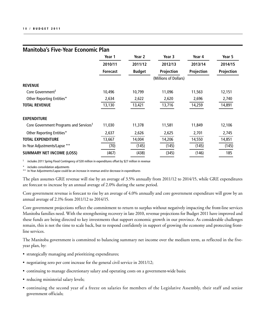| <b>Manitoba's Five-Year Economic Plan</b>          |                 |               |                       |            |            |
|----------------------------------------------------|-----------------|---------------|-----------------------|------------|------------|
|                                                    | Year 1          | Year 2        | Year 3                | Year 4     | Year 5     |
|                                                    | 2010/11         | 2011/12       | 2012/13               | 2013/14    | 2014/15    |
|                                                    | <b>Forecast</b> | <b>Budget</b> | Projection            | Projection | Projection |
|                                                    |                 |               | (Millions of Dollars) |            |            |
| <b>REVENUE</b>                                     |                 |               |                       |            |            |
| Core Government <sup>1</sup>                       | 10,496          | 10,799        | 11,096                | 11,563     | 12,151     |
| Other Reporting Entities*                          | 2,634           | 2,622         | 2,620                 | 2,696      | 2,740      |
| <b>TOTAL REVENUE</b>                               | 13,130          | 13,421        | 13,716                | 14,259     | 14,891     |
| <b>EXPENDITURE</b>                                 |                 |               |                       |            |            |
| Core Government Programs and Services <sup>1</sup> | 11,030          | 11,378        | 11,581                | 11,849     | 12,106     |
| Other Reporting Entities*                          | 2,637           | 2,626         | 2,625                 | 2,701      | 2,745      |
| <b>TOTAL EXPENDITURE</b>                           | 13,667          | 14,004        | 14,206                | 14,550     | 14,851     |
| In-Year Adjustments/Lapse **                       | (70)            | (145)         | (145)                 | (145)      | (145)      |
| <b>SUMMARY NET INCOME (LOSS)</b>                   | (467)           | (438)         | (345)                 | (146)      | 185        |

<sup>1</sup> includes 2011 Spring Flood Contingency of \$30 million in expenditures offset by \$27 million in revenue

includes consolidation adjustments

\*\* In-Year Adjustments/Lapse could be an increase in revenue and/or decrease in expenditures

The plan assumes GRE revenue will rise by an average of 3.5% annually from 2011/12 to 2014/15, while GRE expenditures are forecast to increase by an annual average of 2.0% during the same period.

Core government revenue is forecast to rise by an average of 4.0% annually and core government expenditure will grow by an annual average of 2.1% from 2011/12 to 2014/15.

Core government projections reflect the commitment to return to surplus without negatively impacting the front-line services Manitoba families need. With the strengthening recovery in late 2010, revenue projections for Budget 2011 have improved and these funds are being directed to key investments that support economic growth in our province. As considerable challenges remain, this is not the time to scale back, but to respond confidently in support of growing the economy and protecting frontline services.

The Manitoba government is committed to balancing summary net income over the medium term, as reflected in the fiveyear plan, by:

- strategically managing and prioritizing expenditures;
- negotiating zero per cent increase for the general civil service in 2011/12;
- continuing to manage discretionary salary and operating costs on a government-wide basis;
- reducing ministerial salary levels;
- • continuing the second year of a freeze on salaries for members of the Legislative Assembly, their staff and senior government officials;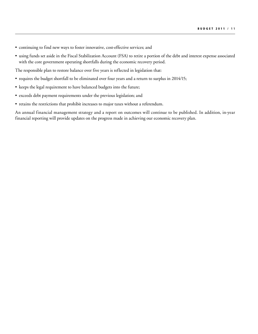- • continuing to find new ways to foster innovative, cost-effective services; and
- • using funds set aside in the Fiscal Stabilization Account (FSA) to retire a portion of the debt and interest expense associated with the core government operating shortfalls during the economic recovery period.

The responsible plan to restore balance over five years is reflected in legislation that:

- requires the budget shortfall to be eliminated over four years and a return to surplus in 2014/15;
- keeps the legal requirement to have balanced budgets into the future;
- • exceeds debt payment requirements under the previous legislation; and
- • retains the restrictions that prohibit increases to major taxes without a referendum.

An annual financial management strategy and a report on outcomes will continue to be published. In addition, in-year financial reporting will provide updates on the progress made in achieving our economic recovery plan.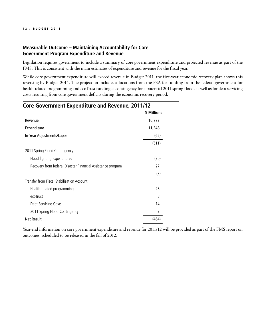## **Measurable Outcome – Maintaining Accountability for Core Government Program Expenditure and Revenue**

Legislation requires government to include a summary of core government expenditure and projected revenue as part of the FMS. This is consistent with the main estimates of expenditure and revenue for the fiscal year.

While core government expenditure will exceed revenue in Budget 2011, the five-year economic recovery plan shows this reversing by Budget 2014. The projection includes allocations from the FSA for funding from the federal government for health-related programming and ecoTrust funding, a contingency for a potential 2011 spring flood, as well as for debt servicing costs resulting from core government deficits during the economic recovery period.

| <b>Core Government Expenditure and Revenue, 2011/12</b>     |             |  |  |  |
|-------------------------------------------------------------|-------------|--|--|--|
|                                                             | \$ Millions |  |  |  |
| Revenue                                                     | 10,772      |  |  |  |
| Expenditure                                                 | 11,348      |  |  |  |
| In-Year Adjustments/Lapse                                   | (65)        |  |  |  |
|                                                             | (511)       |  |  |  |
| 2011 Spring Flood Contingency                               |             |  |  |  |
| Flood fighting expenditures                                 | (30)        |  |  |  |
| Recovery from federal Disaster Financial Assistance program | 27          |  |  |  |
|                                                             | (3)         |  |  |  |
| Transfer from Fiscal Stabilization Account                  |             |  |  |  |
| Health-related programming                                  | 25          |  |  |  |
| ecoTrust                                                    | 8           |  |  |  |
| Debt Servicing Costs                                        | 14          |  |  |  |
| 2011 Spring Flood Contingency                               | 3           |  |  |  |
| <b>Net Result</b>                                           | (464)       |  |  |  |

Year-end information on core government expenditure and revenue for 2011/12 will be provided as part of the FMS report on outcomes, scheduled to be released in the fall of 2012.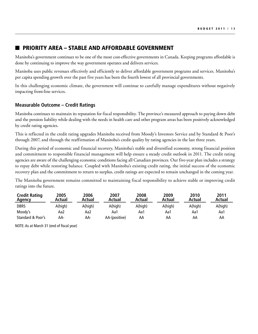## PRIORITY AREA – STABLE AND AFFORDABLE GOVERNMENT

Manitoba's government continues to be one of the most cost-effective governments in Canada. Keeping programs affordable is done by continuing to improve the way government operates and delivers services.

Manitoba uses public revenues effectively and efficiently to deliver affordable government programs and services. Manitoba's per capita spending growth over the past five years has been the fourth lowest of all provincial governments.

In this challenging economic climate, the government will continue to carefully manage expenditures without negatively impacting front-line services.

## **Measurable Outcome – Credit Ratings**

Manitoba continues to maintain its reputation for fiscal responsibility. The province's measured approach to paying down debt and the pension liability while dealing with the needs in health care and other program areas has been positively acknowledged by credit rating agencies.

This is reflected in the credit rating upgrades Manitoba received from Moody's Investors Service and by Standard & Poor's through 2007, and through the reaffirmation of Manitoba's credit quality by rating agencies in the last three years.

During this period of economic and financial recovery, Manitoba's stable and diversified economy, strong financial position and commitment to responsible financial management will help ensure a steady credit outlook in 2011. The credit rating agencies are aware of the challenging economic conditions facing all Canadian provinces. Our five-year plan includes a strategy to repay debt while restoring balance. Coupled with Manitoba's existing credit rating, the initial success of the economic recovery plan and the commitment to return to surplus, credit ratings are expected to remain unchanged in the coming year.

The Manitoba government remains committed to maintaining fiscal responsibility to achieve stable or improving credit ratings into the future.

| <b>Credit Rating</b><br>Agency | 2005<br>Actual | 2006<br>Actual | 2007<br>Actual | 2008<br>Actual | 2009<br>Actual | 2010<br>Actual | 2011<br>Actual |
|--------------------------------|----------------|----------------|----------------|----------------|----------------|----------------|----------------|
| <b>DBRS</b>                    | A(high)        | A(high)        | A(high)        | A(high)        | A(high)        | A(high)        | A(high)        |
| Moody's                        | Aa2            | Aa2            | Aa1            | Aa1            | Aa1            | Aa1            | Aa1            |
| Standard & Poor's              | AA-            | AA-            | AA-(positive)  | AA             | AA             | AA             | AA             |

NOTE: As at March 31 (end of fiscal year)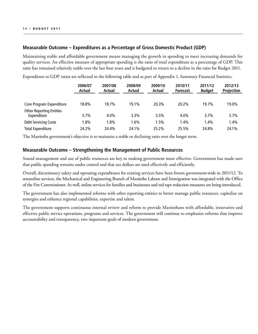## **Measurable Outcome – Expenditures as a Percentage of Gross Domestic Product (GDP)**

Maintaining stable and affordable government means managing the growth in spending to meet increasing demands for quality services. An effective measure of appropriate spending is the ratio of total expenditure as a percentage of GDP. This ratio has remained relatively stable over the last four years and is budgeted to return to a decline in the ratio for Budget 2011.

Expenditure to GDP ratios are reflected in the following table and as part of Appendix 1, Summary Financial Statistics.

|                                                | 2006/07<br>Actual | 2007/08<br>Actual | 2008/09<br>Actual | 2009/10<br>Actual | 2010/11<br><b>Forecast</b> | 2011/12<br><b>Budget</b> | 2012/13<br>Projection |
|------------------------------------------------|-------------------|-------------------|-------------------|-------------------|----------------------------|--------------------------|-----------------------|
| Core Program Expenditure                       | 18.8%             | 18.7%             | 19.1%             | 20.3%             | 20.2%                      | 19.7%                    | 19.0%                 |
| <b>Other Reporting Entities</b><br>Expenditure | 3.7%              | 4.0%              | 3.3%              | 3.5%              | $4.0\%$                    | 3.7%                     | 3.7%                  |
| <b>Debt Servicing Costs</b>                    | 1.8%              | $.8\%$            | 1.6%              | 1.5%              | 1.4%                       | 1.4%                     | 1.4%                  |
| <b>Total Expenditure</b>                       | 24.2%             | 24.4%             | 24.1%             | 25.2%             | 25.5%                      | 24.8%                    | 24.1%                 |

The Manitoba government's objective is to maintain a stable or declining ratio over the longer term.

## **Measurable Outcome – Strengthening the Management of Public Resources**

Sound management and use of public resources are key to making government more effective. Government has made sure that public spending remains under control and that tax dollars are used effectively and efficiently.

Overall, discretionary salary and operating expenditures for existing services have been frozen government-wide in 2011/12. To streamline services, the Mechanical and Engineering Branch of Manitoba Labour and Immigration was integrated with the Office of the Fire Commissioner. As well, online services for families and businesses and red tape reduction measures are being introduced.

The government has also implemented reforms with other reporting entities to better manage public resources, capitalize on synergies and enhance regional capabilities, expertise and talent.

The government supports continuous internal review and reform to provide Manitobans with affordable, innovative and effective public service operations, programs and services. The government will continue to emphasize reforms that improve accountability and transparency, two important goals of modern government.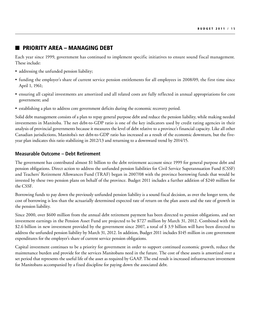## PRIORITY AREA – MANAGING DEBT

Each year since 1999, government has continued to implement specific initiatives to ensure sound fiscal management. These include:

- addressing the unfunded pension liability;
- • funding the employer's share of current service pension entitlements for all employees in 2008/09, the first time since April 1, 1961;
- • ensuring all capital investments are amortized and all related costs are fully reflected in annual appropriations for core government; and
- • establishing a plan to address core government deficits during the economic recovery period.

Solid debt management consists of a plan to repay general purpose debt and reduce the pension liability, while making needed investments in Manitoba. The net debt-to-GDP ratio is one of the key indicators used by credit rating agencies in their analysis of provincial governments because it measures the level of debt relative to a province's financial capacity. Like all other Canadian jurisdictions, Manitoba's net debt-to-GDP ratio has increased as a result of the economic downturn, but the fiveyear plan indicates this ratio stabilizing in 2012/13 and returning to a downward trend by 2014/15.

## **Measurable Outcome – Debt Retirement**

The government has contributed almost \$1 billion to the debt retirement account since 1999 for general purpose debt and pension obligations. Direct action to address the unfunded pension liabilities for Civil Service Superannuation Fund (CSSF) and Teachers' Retirement Allowances Fund (TRAF) began in 2007/08 with the province borrowing funds that would be invested by these two pension plans on behalf of the province. Budget 2011 includes a further addition of \$240 million for the CSSF.

Borrowing funds to pay down the previously unfunded pension liability is a sound fiscal decision, as over the longer term, the cost of borrowing is less than the actuarially determined expected rate of return on the plan assets and the rate of growth in the pension liability.

Since 2000, over \$600 million from the annual debt retirement payment has been directed to pension obligations, and net investment earnings in the Pension Asset Fund are projected to be \$727 million by March 31, 2012. Combined with the \$2.6 billion in new investment provided by the government since 2007, a total of \$ 3.9 billion will have been directed to address the unfunded pension liability by March 31, 2012. In addition, Budget 2011 includes \$145 million in core government expenditures for the employer's share of current service pension obligations.

Capital investment continues to be a priority for government in order to support continued economic growth, reduce the maintenance burden and provide for the services Manitobans need in the future. The cost of these assets is amortized over a set period that represents the useful life of the asset as required by GAAP. The end result is increased infrastructure investment for Manitobans accompanied by a fixed discipline for paying down the associated debt.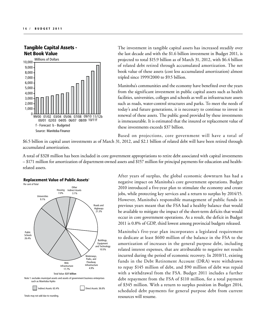

## Tangible Capital Assets - Net Book Value

The investment in tangible capital assets has increased steadily over the last decade and with the \$1.6 billion investment in Budget 2011, is projected to total \$15.9 billion as of March 31, 2012, with \$6.4 billion of related debt retired through accumulated amortization. The net book value of these assets (cost less accumulated amortization) almost tripled since 1999/2000 to \$9.5 billion.

Manitoba's communities and the economy have benefited over the years from the significant investment in public capital assets such as health facilities, universities, colleges and schools as well as infrastructure assets such as roads, water-control structures and parks. To meet the needs of today's and future generations, it is necessary to continue to invest in renewal of these assets. The public good provided by these investments is immeasurable. It is estimated that the insured or replacement value of these investments exceeds \$37 billion.

Based on projections, core government will have a total of

\$6.5 billion in capital asset investments as of March 31, 2012, and \$2.1 billion of related debt will have been retired through accumulated amortization.

A total of \$328 million has been included in core government appropriations to retire debt associated with capital investments – \$171 million for amortization of department-owned assets and \$157 million for principal payments for education and healthrelated assets.



After years of surplus, the global economic downturn has had a negative impact on Manitoba's core government operations. Budget 2010 introduced a five-year plan to stimulate the economy and create jobs, while protecting key services and a return to surplus by 2014/15. However, Manitoba's responsible management of public funds in previous years meant that the FSA had a healthy balance that would be available to mitigate the impact of the short-term deficits that would occur in core government operations. As a result, the deficit in Budget 2011 is 0.8% of GDP, third lowest among provincial budgets released.

Manitoba's five-year plan incorporates a legislated requirement to dedicate at least \$600 million of the balance in the FSA to the amortization of increases in the general purpose debt, including related interest expenses, that are attributable to negative net results incurred during the period of economic recovery. In 2010/11, existing funds in the Debt Retirement Account (DRA) were withdrawn to repay \$145 million of debt, and \$90 million of debt was repaid with a withdrawal from the FSA. Budget 2011 includes a further debt repayment from the FSA of \$110 million, for a total payment of \$345 million. With a return to surplus position in Budget 2014, scheduled debt payments for general purpose debt from current resources will resume.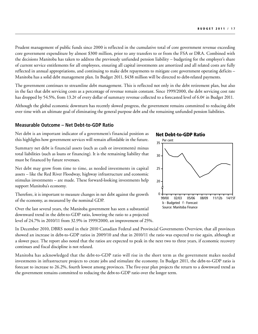Prudent management of public funds since 2000 is reflected in the cumulative total of core government revenue exceeding core government expenditure by almost \$300 million, prior to any transfers to or from the FSA or DRA. Combined with the decisions Manitoba has taken to address the previously unfunded pension liability – budgeting for the employer's share of current service entitlements for all employees, ensuring all capital investments are amortized and all related costs are fully reflected in annual appropriations, and continuing to make debt repayments to mitigate core government operating deficits – Manitoba has a solid debt management plan. In Budget 2011, \$438 million will be directed to debt-related payments.

The government continues to streamline debt management. This is reflected not only in the debt retirement plan, but also in the fact that debt servicing costs as a percentage of revenue remain constant. Since 1999/2000, the debt servicing cost rate has dropped by 54.5%, from 13.2¢ of every dollar of summary revenue collected to a forecasted level of 6.0¢ in Budget 2011.

Although the global economic downturn has recently slowed progress, the government remains committed to reducing debt over time with an ultimate goal of eliminating the general purpose debt and the remaining unfunded pension liabilities.

## **Measurable Outcome – Net Debt-to-GDP Ratio**

Net debt is an important indicator of a government's financial position as this highlights how government services will remain affordable in the future.

Summary net debt is financial assets (such as cash or investments) minus total liabilities (such as loans or financing). It is the remaining liability that must be financed by future revenues.

Net debt may grow from time to time, as needed investments in capital assets – like the Red River Floodway, highway infrastructure and economic stimulus investments – are made. These forward-looking investments help support Manitoba's economy.

Therefore, it is important to measure changes in net debt against the growth of the economy, as measured by the nominal GDP.

Over the last several years, the Manitoba government has seen a substantial downward trend in the debt-to-GDP ratio, lowering the ratio to a projected level of 24.7% in 2010/11 from 32.9% in 1999/2000, an improvement of 25%.

#### Net Debt-to-GDP Ratio



In December 2010, DBRS noted in their 2010 Canadian Federal and Provincial Governments Overview, that all provinces showed an increase in debt-to-GDP ratios in 2009/10 and that in 2010/11 the ratio was expected to rise again, although at a slower pace. The report also noted that the ratios are expected to peak in the next two to three years, if economic recovery continues and fiscal discipline is not relaxed.

Manitoba has acknowledged that the debt-to-GDP ratio will rise in the short term as the government makes needed investments in infrastructure projects to create jobs and stimulate the economy. In Budget 2011, the debt-to-GDP ratio is forecast to increase to 26.2%, fourth lowest among provinces. The five-year plan projects the return to a downward trend as the government remains committed to reducing the debt-to-GDP ratio over the longer term.  $\mu$  Duaget  $2011$ ,  $\mathcal{O}$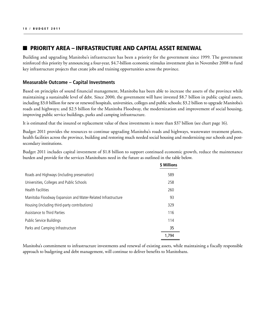## n Priority Area – Infrastructure and Capital Asset Renewal

Building and upgrading Manitoba's infrastructure has been a priority for the government since 1999. The government reinforced this priority by announcing a four-year, \$4.7-billion economic stimulus investment plan in November 2008 to fund key infrastructure projects that create jobs and training opportunities across the province.

## **Measurable Outcome – Capital Investments**

Based on principles of sound financial management, Manitoba has been able to increase the assets of the province while maintaining a sustainable level of debt. Since 2000, the government will have invested \$8.7 billion in public capital assets, including \$3.0 billion for new or renewed hospitals, universities, colleges and public schools; \$3.2 billion to upgrade Manitoba's roads and highways; and \$2.5 billion for the Manitoba Floodway, the modernization and improvement of social housing, improving public service buildings, parks and camping infrastructure.

It is estimated that the insured or replacement value of these investments is more than \$37 billion (see chart page 16).

Budget 2011 provides the resources to continue upgrading Manitoba's roads and highways, wastewater treatment plants, health facilities across the province, building and restoring much needed social housing and modernizing our schools and postsecondary institutions.

Budget 2011 includes capital investment of \$1.8 billion to support continued economic growth, reduce the maintenance burden and provide for the services Manitobans need in the future as outlined in the table below.

|                                                              | \$ Millions |
|--------------------------------------------------------------|-------------|
| Roads and Highways (including preservation)                  | 589         |
| Universities, Colleges and Public Schools                    | 258         |
| <b>Health Facilities</b>                                     | 260         |
| Manitoba Floodway Expansion and Water-Related Infrastructure | 93          |
| Housing (including third-party contributions)                | 329         |
| Assistance to Third Parties                                  | 116         |
| Public Service Buildings                                     | 114         |
| Parks and Camping Infrastructure                             | 35          |
|                                                              | 1.794       |

Manitoba's commitment to infrastructure investments and renewal of existing assets, while maintaining a fiscally responsible approach to budgeting and debt management, will continue to deliver benefits to Manitobans.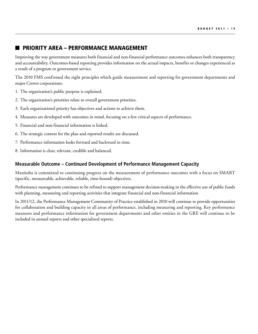## **PRIORITY AREA – PERFORMANCE MANAGEMENT**

Improving the way government measures both financial and non-financial performance outcomes enhances both transparency and accountability. Outcomes-based reporting provides information on the actual impacts, benefits or changes experienced as a result of a program or government service.

The 2010 FMS confirmed the eight principles which guide measurement and reporting for government departments and major Crown corporations.

- 1. The organization's public purpose is explained.
- 2. The organization's priorities relate to overall government priorities.
- 3. Each organizational priority has objectives and actions to achieve them.
- 4. Measures are developed with outcomes in mind, focusing on a few critical aspects of performance.
- 5. Financial and non-financial information is linked.
- 6. The strategic context for the plan and reported results are discussed.
- 7. Performance information looks forward and backward in time.
- 8. Information is clear, relevant, credible and balanced.

## **Measurable Outcome – Continued Development of Performance Management Capacity**

Manitoba is committed to continuing progress on the measurement of performance outcomes with a focus on SMART (specific, measureable, achievable, reliable, time-bound) objectives.

Performance management continues to be refined to support management decision-making in the effective use of public funds with planning, measuring and reporting activities that integrate financial and non-financial information.

In 2011/12, the Performance Management Community of Practice established in 2010 will continue to provide opportunities for collaboration and building capacity in all areas of performance, including measuring and reporting. Key performance measures and performance information for government departments and other entities in the GRE will continue to be included in annual reports and other specialized reports.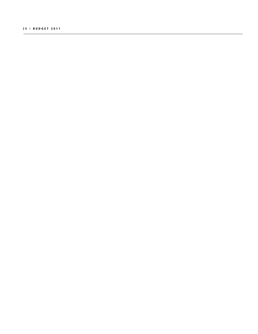**20 /** BUDGET 2011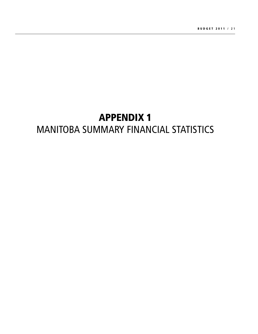# appendix 1 manitoba summary financial statistics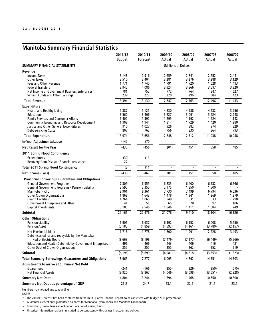## **Manitoba Summary Financial Statistics**

|                                                                                                                                                                                                                                                                                                       | 2011/12<br><b>Budget</b>                                 | 2010/11<br><b>Forecast</b>                               | 2009/10<br>Actual                                      | 2008/09<br>Actual                                      | 2007/08<br>Actual                                      | 2006/07<br>Actual                              |
|-------------------------------------------------------------------------------------------------------------------------------------------------------------------------------------------------------------------------------------------------------------------------------------------------------|----------------------------------------------------------|----------------------------------------------------------|--------------------------------------------------------|--------------------------------------------------------|--------------------------------------------------------|------------------------------------------------|
| SUMMARY FINANCIAL STATEMENTS                                                                                                                                                                                                                                                                          |                                                          | (Millions of Dollars)                                    |                                                        |                                                        |                                                        |                                                |
| Revenue                                                                                                                                                                                                                                                                                               |                                                          |                                                          |                                                        |                                                        |                                                        |                                                |
| Income Taxes<br><b>Other Taxes</b><br>Fees and Other Revenue<br><b>Federal Transfers</b><br>Net Income of Government Business Enterprises<br>Sinking Funds and Other Earnings                                                                                                                         | 3,148<br>3,510<br>1,771<br>3,945<br>781<br>239           | 2,916<br>3,404<br>1,745<br>4,086<br>752<br>227           | 2,659<br>3,281<br>1,791<br>3,924<br>772<br>220         | 2,841<br>3,276<br>1,720<br>3,866<br>764<br>296         | 2,652<br>3,288<br>1,628<br>3,597<br>947<br>384         | 2,441<br>3,129<br>1,493<br>3,320<br>627<br>423 |
| <b>Total Revenue</b>                                                                                                                                                                                                                                                                                  | 13,394                                                   | 13,130                                                   | 12,647                                                 | 12,763                                                 | 12,496                                                 | 11,433                                         |
| <b>Expenditure</b>                                                                                                                                                                                                                                                                                    |                                                          |                                                          |                                                        |                                                        |                                                        |                                                |
| Health and Healthy Living<br>Education<br><b>Family Services and Consumer Affairs</b><br><b>Community, Economic and Resource Development</b><br>Justice and Other General Expenditures<br><b>Debt Servicing Costs</b>                                                                                 | 5,387<br>3,560<br>1,402<br>1,908<br>910<br>807           | 5,125<br>3,406<br>1,392<br>1,944<br>1,027<br>762         | 4,830<br>3,227<br>1,295<br>1,814<br>926<br>756         | 4,588<br>3,091<br>1,192<br>1,729<br>882<br>830         | 4,232<br>3,224<br>1,224<br>1,420<br>974<br>864         | 3,956<br>2,948<br>1,142<br>1,280<br>829<br>793 |
| <b>Total Expenditure</b>                                                                                                                                                                                                                                                                              | 13,974                                                   | 13,656                                                   | 12,848                                                 | 12,312                                                 | 11,938                                                 | 10,948                                         |
| In-Year Adjustments/Lapse                                                                                                                                                                                                                                                                             | (145)                                                    | (70)                                                     |                                                        |                                                        |                                                        |                                                |
| Net Result for the Year                                                                                                                                                                                                                                                                               | (435)                                                    | (456)                                                    | (201)                                                  | 451                                                    | 558                                                    | 485                                            |
| <b>2011 Spring Flood Contingency</b><br>Expenditures<br>Recovery from Disaster Financial Assistance                                                                                                                                                                                                   | (30)<br>27                                               | (11)                                                     |                                                        |                                                        |                                                        |                                                |
| <b>Total 2011 Spring Flood Contingency</b>                                                                                                                                                                                                                                                            | (3)                                                      | (11)                                                     | $\overline{\phantom{a}}$                               |                                                        |                                                        |                                                |
| Net Income (Loss)                                                                                                                                                                                                                                                                                     | (438)                                                    | (467)                                                    | (201)                                                  | 451                                                    | 558                                                    | 485                                            |
| <b>Provincial Borrowings, Guarantees and Obligations</b><br><b>General Government Programs</b><br><b>General Government Programs - Pension Liability</b><br>Manitoba Hydro<br><b>Other Crown Organizations</b><br><b>Health Facilities</b><br>Government Enterprises and Other<br>Capital Investments | 7,309<br>2,595<br>8,901<br>1,868<br>1,264<br>41<br>3,183 | 6,955<br>2,355<br>8,361<br>1,643<br>1,065<br>51<br>2,546 | 6,833<br>2,175<br>7,730<br>1,478<br>949<br>65<br>1,846 | 6,400<br>1,850<br>7,499<br>1,341<br>831<br>78<br>1,411 | 6,532<br>1,500<br>6,794<br>1,269<br>833<br>92<br>1,084 | 6,566<br>6,636<br>1,279<br>790<br>106<br>749   |
| <b>Subtotal</b>                                                                                                                                                                                                                                                                                       | 25,161                                                   | 22,976                                                   | 21,076                                                 | 19,410                                                 | 18,104                                                 | 16,126                                         |
| <b>Other Obligations</b><br>Pension Liability<br><b>Pension Asset</b><br><b>Net Pension Liability</b><br>Debt incurred for and repayable by the Manitoba<br>Hydro-Electric Board                                                                                                                      | 6,901<br>(5, 185)<br>1,716<br>(8,663)                    | 6,637<br>(4, 859)<br>1,778<br>(8, 198)                   | 6,392<br>(4, 592)<br>1,800<br>(7, 479)                 | 6,152<br>(4, 161)<br>1,991<br>(7, 177)                 | 6,008<br>(3,780)<br>2,228<br>(6, 449)                  | 5,650<br>(2, 157)<br>3,493<br>(5,966)          |
| Education and Health Debt held by Government Enterprises<br>Other Debt of Crown Organizations                                                                                                                                                                                                         | 496<br>255                                               | 466<br>255                                               | 443<br>255                                             | 406<br>262                                             | 416<br>252                                             | 431<br>219                                     |
| Subtotal                                                                                                                                                                                                                                                                                              | (6, 196)                                                 | (5,699)                                                  | (4,981)                                                | (4, 518)                                               | (3, 553)                                               | (1,823)                                        |
| <b>Total Summary Borrowings, Guarantees and Obligations</b>                                                                                                                                                                                                                                           | 18,965                                                   | 17,277                                                   | 16,095                                                 | 14,892                                                 | 14,551                                                 | 14,303                                         |
| Adjustments to arrive at Summary Net Debt<br>Guarantees<br><b>Net Financial Assets</b>                                                                                                                                                                                                                | (241)<br>(3,920)                                         | (166)<br>(3, 867)                                        | (255)<br>(4,046)                                       | (326)<br>(3,098)                                       | (350)<br>(3,651)                                       | (675)<br>(2,828)                               |
| <b>Summary Net Debt</b>                                                                                                                                                                                                                                                                               | 14,804                                                   | 13,244                                                   | 11,794                                                 | 11,468                                                 | 10,550                                                 | 10,800                                         |
| Summary Net Debt as percentage of GDP                                                                                                                                                                                                                                                                 | $\frac{1}{26.2}$                                         | 24.7                                                     | 23.1                                                   | $\overline{22.5}$                                      | 21.6                                                   | 23.9                                           |

Numbers may not add due to rounding.

NOTES

• The 2010/11 Forecast has been re-stated from the Third Quarter Financial Report, to be consistent with Budget 2011 presentation.

• Guarantees reflect only guaranteed balances for Manitoba Hydro Bonds and Manitoba Grow Bonds.

• Borrowings, guarantees and obligations are net of sinking funds.

• Historical information has been re-stated to be consistent with changes in accounting policies.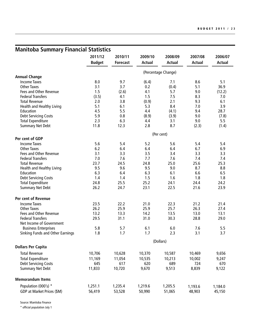| <b>Manitoba Summary Financial Statistics</b>         |               |                     |               |               |               |               |  |
|------------------------------------------------------|---------------|---------------------|---------------|---------------|---------------|---------------|--|
|                                                      | 2011/12       | 2010/11             | 2009/10       | 2008/09       | 2007/08       | 2006/07       |  |
|                                                      | <b>Budget</b> | <b>Forecast</b>     | <b>Actual</b> | <b>Actual</b> | <b>Actual</b> | <b>Actual</b> |  |
|                                                      |               | (Percentage Change) |               |               |               |               |  |
| <b>Annual Change</b>                                 |               |                     |               |               |               |               |  |
| <b>Income Taxes</b>                                  | 8.0           | 9.7                 | (6.4)         | 7.1           | 8.6           | 5.1           |  |
| <b>Other Taxes</b>                                   | 3.1           | 3.7                 | 0.2           | (0.4)         | 5.1           | 36.9          |  |
| Fees and Other Revenue                               | 1.5           | (2.6)               | 4.1           | 5.7           | 9.0           | (12.2)        |  |
| <b>Federal Transfers</b>                             | (3.5)         | 4.1                 | 1.5           | 7.5           | 8.3           | 7.0           |  |
| <b>Total Revenue</b>                                 | 2.0           | 3.8                 | (0.9)         | 2.1           | 9.3           | 6.1           |  |
| Health and Healthy Living                            | 5.1           | 6.1                 | 5.3           | 8.4           | 7.0           | 3.9           |  |
| Education                                            | 4.5           | 5.5                 | 4.4           | (4.1)         | 9.4           | 28.7          |  |
| <b>Debt Servicing Costs</b>                          | 5.9           | 0.8                 | (8.9)         | (3.9)         | 9.0           | (7.8)         |  |
| <b>Total Expenditure</b>                             | 2.3           | 6.3                 | 4.4           | 3.1           | 9.0           | 5.5           |  |
| <b>Summary Net Debt</b>                              | 11.8          | 12.3                | 2.8           | 8.7           | (2.3)         | (1.4)         |  |
| Per cent of GDP                                      | (Per cent)    |                     |               |               |               |               |  |
| <b>Income Taxes</b>                                  | 5.6           | 5.4                 | 5.2           | 5.6           | 5.4           | 5.4           |  |
| <b>Other Taxes</b>                                   | 6.2           | 6.4                 | 6.4           | 6.4           | 6.7           | 6.9           |  |
| Fees and Other Revenue                               | 3.1           | 3.3                 | 3.5           | 3.4           | 3.3           | 3.3           |  |
| <b>Federal Transfers</b>                             | 7.0           | 7.6                 | 7.7           | 7.6           | 7.4           | 7.4           |  |
| <b>Total Revenue</b>                                 | 23.7          | 24.5                | 24.8          | 25.0          | 25.6          | 25.3          |  |
|                                                      | 9.5           | 9.6                 | 9.5           | 9.0           | 8.7           | 8.8           |  |
| Health and Healthy Living<br>Education               | 6.3           | 6.4                 | 6.3           | 6.1           | 6.6           | 6.5           |  |
|                                                      | 1.4           | 1.4                 | 1.5           | 1.6           | 1.8           | 1.8           |  |
| <b>Debt Servicing Costs</b>                          |               |                     |               |               |               |               |  |
| <b>Total Expenditure</b><br><b>Summary Net Debt</b>  | 24.8<br>26.2  | 25.5<br>24.7        | 25.2<br>23.1  | 24.1<br>22.5  | 24.4<br>21.6  | 24.2<br>23.9  |  |
|                                                      |               |                     |               |               |               |               |  |
| <b>Per cent of Revenue</b>                           |               |                     |               |               |               |               |  |
| <b>Income Taxes</b>                                  | 23.5          | 22.2                | 21.0          | 22.3          | 21.2          | 21.4          |  |
| <b>Other Taxes</b>                                   | 26.2          | 25.9                | 25.9          | 25.7          | 26.3          | 27.4          |  |
| Fees and Other Revenue                               | 13.2          | 13.3                | 14.2          | 13.5          | 13.0          | 13.1          |  |
| <b>Federal Transfers</b><br>Net Income of Government | 29.5          | 31.1                | 31.0          | 30.3          | 28.8          | 29.0          |  |
| <b>Business Enterprises</b>                          | 5.8           | 5.7                 | 6.1           | 6.0           | 7.6           | 5.5           |  |
| Sinking Funds and Other Earnings                     | 1.8           | 1.7                 | 1.7           | 2.3           | 3.1           | 3.7           |  |
|                                                      |               | (Dollars)           |               |               |               |               |  |
| <b>Dollars Per Capita</b>                            |               |                     |               |               |               |               |  |
| <b>Total Revenue</b>                                 | 10,706        | 10,628              | 10,370        | 10,587        | 10,469        | 9,656         |  |
| <b>Total Expenditure</b>                             | 11,169        | 11,054              | 10,535        | 10,213        | 10,002        | 9,247         |  |
| <b>Debt Servicing Costs</b>                          | 645           | 617                 | 620           | 689           | 724           | 670           |  |
| <b>Summary Net Debt</b>                              | 11,833        | 10,720              | 9,670         | 9,513         | 8,839         | 9,122         |  |
| <b>Memorandum Items</b>                              |               |                     |               |               |               |               |  |
| Population (000's) *                                 | 1,251.1       | 1,235.4             | 1,219.6       | 1,205.5       | 1,193.6       | 1,184.0       |  |
| GDP at Market Prices (\$M)                           | 56,419        | 53,528              | 50,990        | 51,065        | 48,903        | 45,150        |  |

Source: Manitoba Finance

\* official population July 1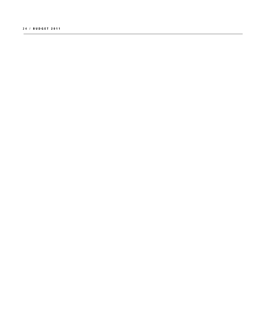**24 /** BUDGET 2011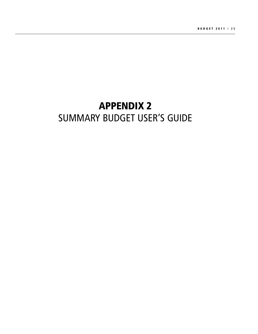# appendix 2 SUmmary budget user's guide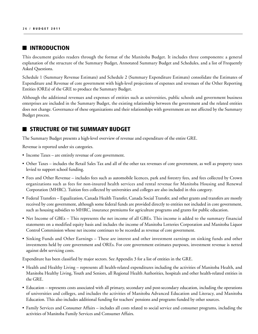## **NUMBER 18 INTRODUCTION**

This document guides readers through the format of the Manitoba Budget. It includes three components: a general explanation of the structure of the Summary Budget, Annotated Summary Budget and Schedules, and a list of Frequently Asked Questions.

Schedule 1 (Summary Revenue Estimate) and Schedule 2 (Summary Expenditure Estimate) consolidate the Estimates of Expenditure and Revenue of core government with high-level projections of expenses and revenues of the Other Reporting Entities (OREs) of the GRE to produce the Summary Budget.

Although the additional revenues and expenses of entities such as universities, public schools and government business enterprises are included in the Summary Budget, the existing relationship between the government and the related entities does not change. Governance of these organizations and their relationships with government are not affected by the Summary Budget process.

## $\blacksquare$  STRUCTURE OF THE SUMMARY BUDGET

The Summary Budget presents a high-level overview of revenue and expenditure of the entire GRE.

Revenue is reported under six categories.

- Income Taxes are entirely revenue of core government.
- • Other Taxes includes the Retail Sales Tax and all of the other tax revenues of core government, as well as property taxes levied to support school funding.
- Fees and Other Revenue includes fees such as automobile licences, park and forestry fees, and fees collected by Crown organizations such as fees for non-insured health services and rental revenue for Manitoba Housing and Renewal Corporation (MHRC). Tuition fees collected by universities and colleges are also included in this category.
- • Federal Transfers Equalization, Canada Health Transfer, Canada Social Transfer, and other grants and transfers are mostly received by core government, although some federal funds are provided directly to entities not included in core government, such as housing subsidies to MHRC, insurance premiums for agriculture programs and grants for public education.
- Net Income of GBEs This represents the net income of all GBEs. This income is added to the summary financial statements on a modified equity basis and includes the income of Manitoba Lotteries Corporation and Manitoba Liquor Control Commission whose net income continues to be recorded as revenue of core government.
- • Sinking Funds and Other Earnings These are interest and other investment earnings on sinking funds and other investments held by core government and OREs. For core government estimates purposes, investment revenue is netted against debt servicing costs.

Expenditure has been classified by major sectors. See Appendix 3 for a list of entities in the GRE.

- • Health and Healthy Living represents all health-related expenditures including the activities of Manitoba Health, and Manitoba Healthy Living, Youth and Seniors, all Regional Health Authorities, hospitals and other health-related entities in the GRE.
- Education represents costs associated with all primary, secondary and post-secondary education, including the operations of universities and colleges, and includes the activities of Manitoba Advanced Education and Literacy, and Manitoba Education. This also includes additional funding for teachers' pensions and programs funded by other sources.
- Family Services and Consumer Affairs includes all costs related to social service and consumer programs, including the activities of Manitoba Family Services and Consumer Affairs.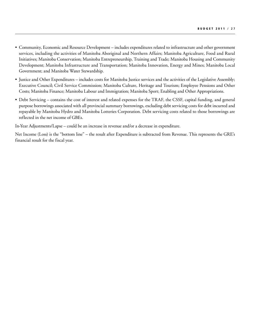- • Community, Economic and Resource Development includes expenditures related to infrastructure and other government services, including the activities of Manitoba Aboriginal and Northern Affairs; Manitoba Agriculture, Food and Rural Initiatives; Manitoba Conservation; Manitoba Entrepreneurship, Training and Trade; Manitoba Housing and Community Development; Manitoba Infrastructure and Transportation; Manitoba Innovation, Energy and Mines; Manitoba Local Government; and Manitoba Water Stewardship.
- • Justice and Other Expenditures includes costs for Manitoba Justice services and the activities of the Legislative Assembly; Executive Council; Civil Service Commission; Manitoba Culture, Heritage and Tourism; Employee Pensions and Other Costs; Manitoba Finance; Manitoba Labour and Immigration; Manitoba Sport; Enabling and Other Appropriations.
- Debt Servicing contains the cost of interest and related expenses for the TRAF, the CSSF, capital funding, and general purpose borrowings associated with all provincial summary borrowings, excluding debt servicing costs for debt incurred and repayable by Manitoba Hydro and Manitoba Lotteries Corporation. Debt servicing costs related to those borrowings are reflected in the net income of GBEs.

In-Year Adjustments/Lapse – could be an increase in revenue and/or a decrease in expenditure.

Net Income (Loss) is the "bottom line" – the result after Expenditure is subtracted from Revenue. This represents the GRE's financial result for the fiscal year.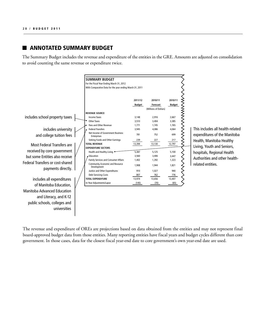public schools, colleges and

universities

## ANNOTATED SUMMARY BUDGET

The Summary Budget includes the revenue and expenditure of the entities in the GRE. Amounts are adjusted on consolidation to avoid counting the same revenue or expenditure twice.



Health, Manitoba Healthy Living, Youth and Seniors, hospitals, Regional Health Authorities and other healthrelated entities.

The revenue and expenditure of OREs are projections based on data obtained from the entities and may not represent final board-approved budget data from those entities. Many reporting entities have fiscal years and budget cycles different than core government. In those cases, data for the closest fiscal year-end date to core government's own year-end date are used. rose entities. ivian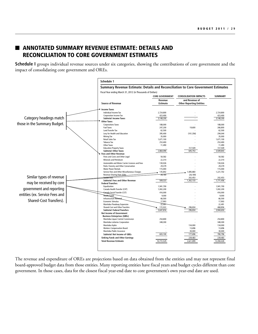## **NOTATED SUMMARY REVENUE ESTIMATE: DETAILS AND** RECONCILIATION TO CORE GOVERNMENT ESTIMATES

**Schedule I** groups individual revenue sources under six categories, showing the contributions of core government and the impact of consolidating core government and OREs.



The revenue and expenditure of OREs are projections based on data obtained from the entities and may not represent final board-approved budget data from those entities. Many reporting entities have fiscal years and budget cycles different than core government. In those cases, data for the closest fiscal year-end date to core government's own year-end date are used.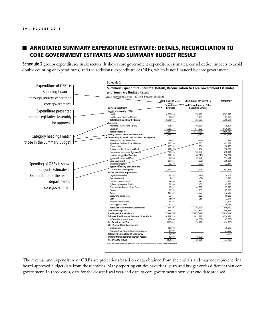## **n** ANNOTATED SUMMARY EXPENDITURE ESTIMATE: DETAILS, RECONCILIATION TO CORE GOVERNMENT ESTIMATES AND SUMMARY BUDGET RESULT

**Schedule 2** groups expenditures in six sectors. It shows core government expenditure estimates, consolidation impacts to avoid double counting of expenditures, and the additional expenditure of OREs, which is not financed by core government.



The revenue and expenditure of OREs are projections based on data obtained from the entities and may not represent final board-approved budget data from those entities. Many reporting entities have fiscal years and budget cycles different than core government. In those cases, data for the closest fiscal year-end date to core government's own year-end date are used.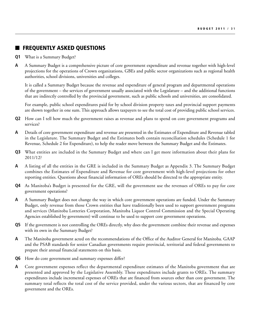## **Example 1 FREQUENTLY ASKED QUESTIONS**

- **Q1** What is a Summary Budget?
- **A** A Summary Budget is a comprehensive picture of core government expenditure and revenue together with high-level projections for the operations of Crown organizations, GBEs and public sector organizations such as regional health authorities, school divisions, universities and colleges.

It is called a Summary Budget because the revenue and expenditure of general program and departmental operations of the government – the services of government usually associated with the Legislature – and the additional functions that are indirectly controlled by the provincial government, such as public schools and universities, are consolidated.

For example, public school expenditures paid for by school division property taxes and provincial support payments are shown together in one sum. This approach allows taxpayers to see the total cost of providing public school services.

- **Q2** How can I tell how much the government raises as revenue and plans to spend on core government programs and services?
- **A** Details of core government expenditure and revenue are presented in the Estimates of Expenditure and Revenue tabled in the Legislature. The Summary Budget and the Estimates both contain reconciliation schedules (Schedule 1 for Revenue, Schedule 2 for Expenditure), to help the reader move between the Summary Budget and the Estimates.
- **Q3** What entities are included in the Summary Budget and where can I get more information about their plans for 2011/12?
- **A** A listing of all the entities in the GRE is included in the Summary Budget as Appendix 3. The Summary Budget combines the Estimates of Expenditure and Revenue for core government with high-level projections for other reporting entities. Questions about financial information of OREs should be directed to the appropriate entity.
- **Q4** As Manitoba's Budget is presented for the GRE, will the government use the revenues of OREs to pay for core government operations?
- **A** A Summary Budget does not change the way in which core government operations are funded. Under the Summary Budget, only revenue from those Crown entities that have traditionally been used to support government programs and services (Manitoba Lotteries Corporation, Manitoba Liquor Control Commission and the Special Operating Agencies established by government) will continue to be used to support core government operations.
- **Q5** If the government is not controlling the OREs directly, why does the government combine their revenue and expenses with its own in the Summary Budget?
- **A** The Manitoba government acted on the recommendations of the Office of the Auditor General for Manitoba. GAAP and the PSAB standards for senior Canadian governments require provincial, territorial and federal governments to prepare their annual financial statements on this basis.
- **Q6** How do core government and summary expenses differ?
- **A** Core government expenses reflect the departmental expenditure estimates of the Manitoba government that are presented and approved by the Legislative Assembly. These expenditures include grants to OREs. The summary expenditures include incremental expenses of OREs that are financed from sources other than core government. The summary total reflects the total cost of the service provided, under the various sectors, that are financed by core government and the OREs.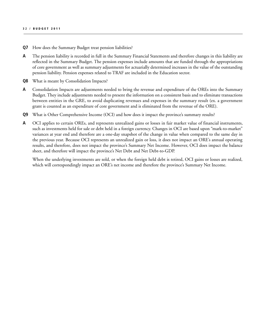- **Q7** How does the Summary Budget treat pension liabilities?
- **A** The pension liability is recorded in full in the Summary Financial Statements and therefore changes in this liability are reflected in the Summary Budget. The pension expenses include amounts that are funded through the appropriations of core government as well as summary adjustments for actuarially determined increases in the value of the outstanding pension liability. Pension expenses related to TRAF are included in the Education sector.
- **Q8** What is meant by Consolidation Impacts?
- **A** Consolidation Impacts are adjustments needed to bring the revenue and expenditure of the OREs into the Summary Budget. They include adjustments needed to present the information on a consistent basis and to eliminate transactions between entities in the GRE, to avoid duplicating revenues and expenses in the summary result (ex. a government grant is counted as an expenditure of core government and is eliminated from the revenue of the ORE).
- **Q9** What is Other Comprehensive Income (OCI) and how does it impact the province's summary results?
- **A** OCI applies to certain OREs, and represents unrealized gains or losses in fair market value of financial instruments, such as investments held for sale or debt held in a foreign currency. Changes in OCI are based upon "mark-to-market" variances at year end and therefore are a one-day snapshot of the change in value when compared to the same day in the previous year. Because OCI represents an unrealized gain or loss, it does not impact an ORE's annual operating results, and therefore, does not impact the province's Summary Net Income. However, OCI does impact the balance sheet, and therefore will impact the province's Net Debt and Net Debt-to-GDP.

When the underlying investments are sold, or when the foreign held debt is retired, OCI gains or losses are realized, which will correspondingly impact an ORE's net income and therefore the province's Summary Net Income.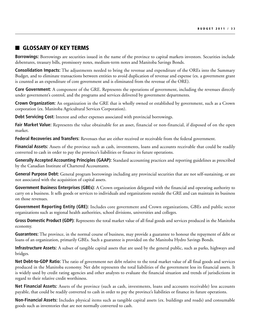## **n** GLOSSARY OF KEY TERMS

**Borrowings:** Borrowings are securities issued in the name of the province to capital markets investors. Securities include debentures, treasury bills, promissory notes, medium-term notes and Manitoba Savings Bonds.

**Consolidation Impacts:** The adjustments needed to bring the revenue and expenditure of the OREs into the Summary Budget, and to eliminate transactions between entities to avoid duplication of revenue and expense (ex. a government grant is counted as an expenditure of core government and is eliminated from the revenue of the ORE).

**Core Government:** A component of the GRE. Represents the operations of government, including the revenues directly under government's control, and the programs and services delivered by government departments.

**Crown Organization:** An organization in the GRE that is wholly owned or established by government, such as a Crown corporation (ex. Manitoba Agricultural Services Corporation).

**Debt Servicing Cost:** Interest and other expenses associated with provincial borrowings.

**Fair Market Value:** Represents the value obtainable for an asset, financial or non-financial, if disposed of on the open market.

**Federal Recoveries and Transfers:** Revenues that are either received or receivable from the federal government.

**Financial Assets:** Assets of the province such as cash, investments, loans and accounts receivable that could be readily converted to cash in order to pay the province's liabilities or finance its future operations.

**Generally Accepted Accounting Principles (GAAP):** Standard accounting practices and reporting guidelines as prescribed by the Canadian Institute of Chartered Accountants.

**General Purpose Debt:** General program borrowings including any provincial securities that are not self-sustaining, or are not associated with the acquisition of capital assets.

**Government Business Enterprises (GBEs):** A Crown organization delegated with the financial and operating authority to carry on a business. It sells goods or services to individuals and organizations outside the GRE and can maintain its business on those revenues.

**Government Reporting Entity (GRE):** Includes core government and Crown organizations, GBEs and public sector organizations such as regional health authorities, school divisions, universities and colleges.

**Gross Domestic Product (GDP):** Represents the total market value of all final goods and services produced in the Manitoba economy.

**Guarantees:** The province, in the normal course of business, may provide a guarantee to honour the repayment of debt or loans of an organization, primarily GBEs. Such a guarantee is provided on the Manitoba Hydro Savings Bonds.

**Infrastructure Assets:** A subset of tangible capital assets that are used by the general public, such as parks, highways and bridges.

**Net Debt-to-GDP Ratio:** The ratio of government net debt relative to the total market value of all final goods and services produced in the Manitoba economy. Net debt represents the total liabilities of the government less its financial assets. It is widely used by credit rating agencies and other analysts to evaluate the financial situation and trends of jurisdictions in regard to their relative credit worthiness.

**Net Financial Assets:** Assets of the province (such as cash, investments, loans and accounts receivable) less accounts payable, that could be readily converted to cash in order to pay the province's liabilities or finance its future operations.

**Non-Financial Assets:** Includes physical items such as tangible capital assets (ex. buildings and roads) and consumable goods such as inventories that are not normally converted to cash.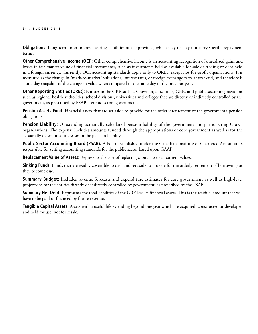**Obligations:** Long-term, non-interest-bearing liabilities of the province, which may or may not carry specific repayment terms.

**Other Comprehensive Income (OCI):** Other comprehensive income is an accounting recognition of unrealized gains and losses in fair market value of financial instruments, such as investments held as available for sale or trading or debt held in a foreign currency. Currently, OCI accounting standards apply only to OREs, except not-for-profit organizations. It is measured as the change in "mark-to-market" valuations, interest rates, or foreign exchange rates at year end, and therefore is a one-day snapshot of the change in value when compared to the same day in the previous year.

**Other Reporting Entities (OREs):** Entities in the GRE such as Crown organizations, GBEs and public sector organizations such as regional health authorities, school divisions, universities and colleges that are directly or indirectly controlled by the government, as prescribed by PSAB – excludes core government.

**Pension Assets Fund:** Financial assets that are set aside to provide for the orderly retirement of the government's pension obligations.

**Pension Liability:** Outstanding actuarially calculated pension liability of the government and participating Crown organizations. The expense includes amounts funded through the appropriations of core government as well as for the actuarially determined increases in the pension liability.

**Public Sector Accounting Board (PSAB):** A board established under the Canadian Institute of Chartered Accountants responsible for setting accounting standards for the public sector based upon GAAP.

**Replacement Value of Assets:** Represents the cost of replacing capital assets at current values.

**Sinking Funds:** Funds that are readily covertible to cash and set aside to provide for the orderly retirement of borrowings as they become due.

**Summary Budget:** Includes revenue forecasts and expenditure estimates for core government as well as high-level projections for the entities directly or indirectly controlled by government, as prescribed by the PSAB.

**Summary Net Debt:** Represents the total liabilities of the GRE less its financial assets. This is the residual amount that will have to be paid or financed by future revenue.

**Tangible Capital Assets:** Assets with a useful life extending beyond one year which are acquired, constructed or developed and held for use, not for resale.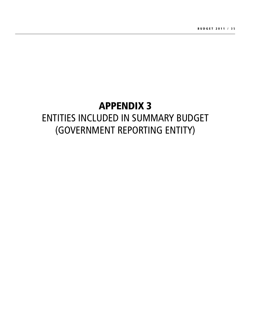# appendix 3 entities included in summary budget (government reporting entity)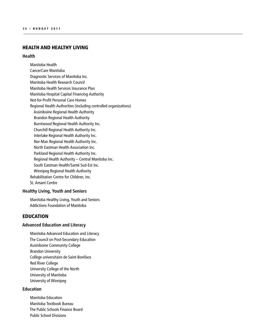## HEALTH AND HEALTHY LIVING

#### **Health**

Manitoba Health CancerCare Manitoba Diagnostic Services of Manitoba Inc. Manitoba Health Research Council Manitoba Health Services Insurance Plan Manitoba Hospital Capital Financing Authority Not-for-Profit Personal Care Homes Regional Health Authorities (including controlled organizations) Assiniboine Regional Health Authority Brandon Regional Health Authority Burntwood Regional Health Authority Inc. Churchill Regional Health Authority Inc. Interlake Regional Health Authority Inc. Nor-Man Regional Health Authority Inc. North Eastman Health Association Inc. Parkland Regional Health Authority Inc. Regional Health Authority – Central Manitoba Inc. South Eastman Health/Santé Sud-Est Inc. Winnipeg Regional Health Authority Rehabilitation Centre for Children, Inc. St. Amant Centre

## **Healthy Living, Youth and Seniors**

Manitoba Healthy Living, Youth and Seniors Addictions Foundation of Manitoba

## EDUCATION

## **Advanced Education and Literacy**

Manitoba Advanced Education and Literacy The Council on Post-Secondary Education Assiniboine Community College Brandon University Collège universitaire de Saint-Boniface Red River College University College of the North University of Manitoba University of Winnipeg

#### **Education**

Manitoba Education Manitoba Textbook Bureau The Public Schools Finance Board Public School Divisions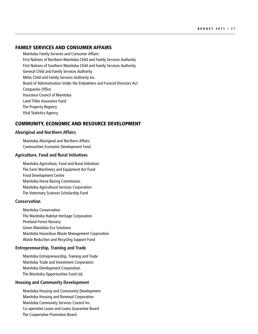## FAMILY SERVICES AND CONSUMER AFFAIRS

Manitoba Family Services and Consumer Affairs First Nations of Northern Manitoba Child and Family Services Authority First Nations of Southern Manitoba Child and Family Services Authority General Child and Family Services Authority Métis Child and Family Services Authority Inc. Board of Administration Under the Embalmers and Funeral Directors Act Companies Office Insurance Council of Manitoba Land Titles Assurance Fund The Property Registry Vital Statistics Agency

## COMMUNITY, ECONOMIC AND RESOURCE DEVELOPMENT

#### **Aboriginal and Northern Affairs**

Manitoba Aboriginal and Northern Affairs Communities Economic Development Fund

#### **Agriculture, Food and Rural Initiatives**

Manitoba Agriculture, Food and Rural Initiatives The Farm Machinery and Equipment Act Fund Food Development Centre Manitoba Horse Racing Commission Manitoba Agricultural Services Corporation The Veterinary Sciences Scholarship Fund

### **Conservation**

Manitoba Conservation The Manitoba Habitat Heritage Corporation Pineland Forest Nursery Green Manitoba Eco Solutions Manitoba Hazardous Waste Management Corporation Waste Reduction and Recycling Support Fund

#### **Entrepreneurship, Training and Trade**

Manitoba Entrepreneurship, Training and Trade Manitoba Trade and Investment Corporation Manitoba Development Corporation The Manitoba Opportunities Fund Ltd.

#### **Housing and Community Development**

Manitoba Housing and Community Development Manitoba Housing and Renewal Corporation Manitoba Community Services Council Inc. Co-operative Loans and Loans Guarantee Board The Cooperative Promotion Board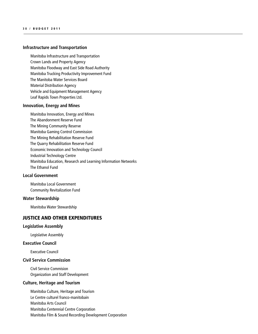### **Infrastructure and Transportation**

Manitoba Infrastructure and Transportation Crown Lands and Property Agency Manitoba Floodway and East Side Road Authority Manitoba Trucking Productivity Improvement Fund The Manitoba Water Services Board Material Distribution Agency Vehicle and Equipment Management Agency Leaf Rapids Town Properties Ltd.

#### **Innovation, Energy and Mines**

Manitoba Innovation, Energy and Mines The Abandonment Reserve Fund The Mining Community Reserve Manitoba Gaming Control Commission The Mining Rehabilitation Reserve Fund The Quarry Rehabilitation Reserve Fund Economic Innovation and Technology Council Industrial Technology Centre Manitoba Education, Research and Learning Information Networks The Ethanol Fund

#### **Local Government**

Manitoba Local Government Community Revitalization Fund

#### **Water Stewardship**

Manitoba Water Stewardship

## JUSTICE AND OTHER EXPENDITURES

### **Legislative Assembly**

Legislative Assembly

#### **Executive Council**

Executive Council

## **Civil Service Commission**

Civil Service Commision Organization and Staff Development

### **Culture, Heritage and Tourism**

Manitoba Culture, Heritage and Tourism Le Centre culturel franco-manitobain Manitoba Arts Council Manitoba Centennial Centre Corporation Manitoba Film & Sound Recording Development Corporation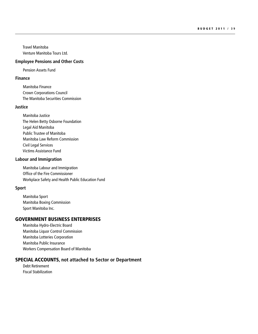Travel Manitoba Venture Manitoba Tours Ltd.

## **Employee Pensions and Other Costs**

Pension Assets Fund

### **Finance**

Manitoba Finance Crown Corporations Council The Manitoba Securities Commission

#### **Justice**

Manitoba Justice The Helen Betty Osborne Foundation Legal Aid Manitoba Public Trustee of Manitoba Manitoba Law Reform Commission Civil Legal Services Victims Assistance Fund

#### **Labour and Immigration**

Manitoba Labour and Immigration Office of the Fire Commissioner Workplace Safety and Health Public Education Fund

#### **Sport**

Manitoba Sport Manitoba Boxing Commission Sport Manitoba Inc.

## GOVERNMENT BUSINESS ENTERPRISES

Manitoba Hydro-Electric Board Manitoba Liquor Control Commission Manitoba Lotteries Corporation Manitoba Public Insurance Workers Compensation Board of Manitoba

## SPECIAL ACCOUNTS**, not attached to Sector or Department**

Debt Retirement Fiscal Stabilization